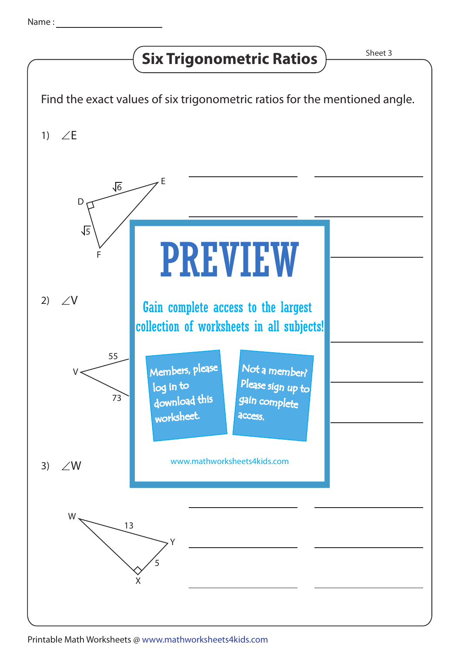## **Six Trigonometric Ratios**  $\overline{\phantom{a}}$ <sup>Sheet 3</sup>



Printable Math Worksheets @ www.mathworksheets4kids.com